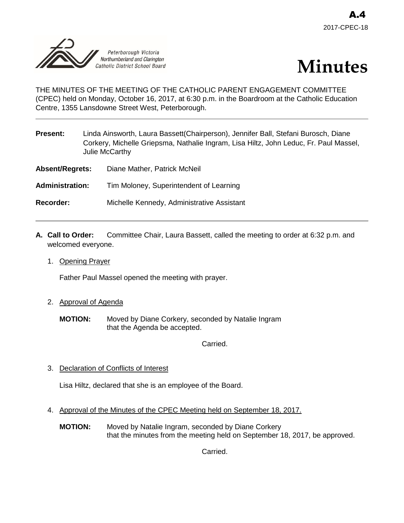



THE MINUTES OF THE MEETING OF THE CATHOLIC PARENT ENGAGEMENT COMMITTEE (CPEC) held on Monday, October 16, 2017, at 6:30 p.m. in the Boardroom at the Catholic Education Centre, 1355 Lansdowne Street West, Peterborough.

| Present: | Linda Ainsworth, Laura Bassett (Chairperson), Jennifer Ball, Stefani Burosch, Diane   |
|----------|---------------------------------------------------------------------------------------|
|          | Corkery, Michelle Griepsma, Nathalie Ingram, Lisa Hiltz, John Leduc, Fr. Paul Massel, |
|          | Julie McCarthy                                                                        |
|          |                                                                                       |

- **Absent/Regrets:** Diane Mather, Patrick McNeil
- **Administration:** Tim Moloney, Superintendent of Learning
- **Recorder:** Michelle Kennedy, Administrative Assistant
- **A. Call to Order:** Committee Chair, Laura Bassett, called the meeting to order at 6:32 p.m. and welcomed everyone.
	- 1. Opening Prayer

Father Paul Massel opened the meeting with prayer.

- 2. Approval of Agenda
	- **MOTION:** Moved by Diane Corkery, seconded by Natalie Ingram that the Agenda be accepted.

Carried.

3. Declaration of Conflicts of Interest

Lisa Hiltz, declared that she is an employee of the Board.

- 4. Approval of the Minutes of the CPEC Meeting held on September 18, 2017.
	- **MOTION:** Moved by Natalie Ingram, seconded by Diane Corkery that the minutes from the meeting held on September 18, 2017, be approved.

Carried.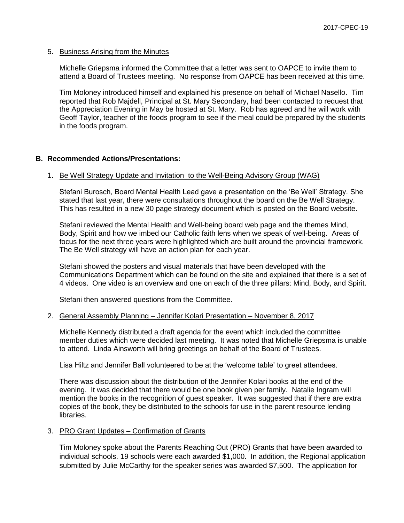#### 5. Business Arising from the Minutes

Michelle Griepsma informed the Committee that a letter was sent to OAPCE to invite them to attend a Board of Trustees meeting. No response from OAPCE has been received at this time.

Tim Moloney introduced himself and explained his presence on behalf of Michael Nasello. Tim reported that Rob Majdell, Principal at St. Mary Secondary, had been contacted to request that the Appreciation Evening in May be hosted at St. Mary. Rob has agreed and he will work with Geoff Taylor, teacher of the foods program to see if the meal could be prepared by the students in the foods program.

## **B. Recommended Actions/Presentations:**

#### 1. Be Well Strategy Update and Invitation to the Well-Being Advisory Group (WAG)

Stefani Burosch, Board Mental Health Lead gave a presentation on the 'Be Well' Strategy. She stated that last year, there were consultations throughout the board on the Be Well Strategy. This has resulted in a new 30 page strategy document which is posted on the Board website.

Stefani reviewed the Mental Health and Well-being board web page and the themes Mind, Body, Spirit and how we imbed our Catholic faith lens when we speak of well-being. Areas of focus for the next three years were highlighted which are built around the provincial framework. The Be Well strategy will have an action plan for each year.

Stefani showed the posters and visual materials that have been developed with the Communications Department which can be found on the site and explained that there is a set of 4 videos. One video is an overview and one on each of the three pillars: Mind, Body, and Spirit.

Stefani then answered questions from the Committee.

## 2. General Assembly Planning – Jennifer Kolari Presentation – November 8, 2017

Michelle Kennedy distributed a draft agenda for the event which included the committee member duties which were decided last meeting. It was noted that Michelle Griepsma is unable to attend. Linda Ainsworth will bring greetings on behalf of the Board of Trustees.

Lisa Hiltz and Jennifer Ball volunteered to be at the 'welcome table' to greet attendees.

There was discussion about the distribution of the Jennifer Kolari books at the end of the evening. It was decided that there would be one book given per family. Natalie Ingram will mention the books in the recognition of guest speaker. It was suggested that if there are extra copies of the book, they be distributed to the schools for use in the parent resource lending libraries.

#### 3. PRO Grant Updates – Confirmation of Grants

Tim Moloney spoke about the Parents Reaching Out (PRO) Grants that have been awarded to individual schools. 19 schools were each awarded \$1,000. In addition, the Regional application submitted by Julie McCarthy for the speaker series was awarded \$7,500. The application for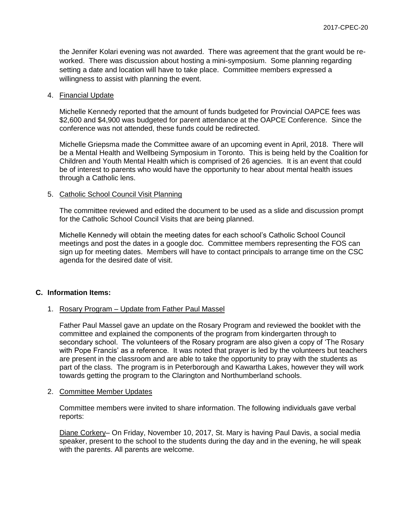the Jennifer Kolari evening was not awarded. There was agreement that the grant would be reworked. There was discussion about hosting a mini-symposium. Some planning regarding setting a date and location will have to take place. Committee members expressed a willingness to assist with planning the event.

#### 4. Financial Update

Michelle Kennedy reported that the amount of funds budgeted for Provincial OAPCE fees was \$2,600 and \$4,900 was budgeted for parent attendance at the OAPCE Conference. Since the conference was not attended, these funds could be redirected.

Michelle Griepsma made the Committee aware of an upcoming event in April, 2018. There will be a Mental Health and Wellbeing Symposium in Toronto. This is being held by the Coalition for Children and Youth Mental Health which is comprised of 26 agencies. It is an event that could be of interest to parents who would have the opportunity to hear about mental health issues through a Catholic lens.

## 5. Catholic School Council Visit Planning

The committee reviewed and edited the document to be used as a slide and discussion prompt for the Catholic School Council Visits that are being planned.

Michelle Kennedy will obtain the meeting dates for each school's Catholic School Council meetings and post the dates in a google doc. Committee members representing the FOS can sign up for meeting dates. Members will have to contact principals to arrange time on the CSC agenda for the desired date of visit.

## **C. Information Items:**

## 1. Rosary Program – Update from Father Paul Massel

Father Paul Massel gave an update on the Rosary Program and reviewed the booklet with the committee and explained the components of the program from kindergarten through to secondary school. The volunteers of the Rosary program are also given a copy of 'The Rosary with Pope Francis' as a reference. It was noted that prayer is led by the volunteers but teachers are present in the classroom and are able to take the opportunity to pray with the students as part of the class. The program is in Peterborough and Kawartha Lakes, however they will work towards getting the program to the Clarington and Northumberland schools.

#### 2. Committee Member Updates

Committee members were invited to share information. The following individuals gave verbal reports:

Diane Corkery– On Friday, November 10, 2017, St. Mary is having Paul Davis, a social media speaker, present to the school to the students during the day and in the evening, he will speak with the parents. All parents are welcome.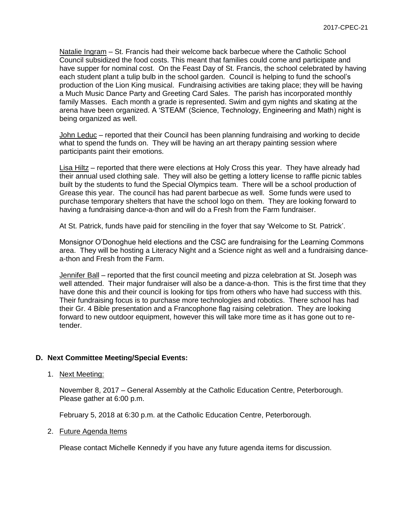Natalie Ingram – St. Francis had their welcome back barbecue where the Catholic School Council subsidized the food costs. This meant that families could come and participate and have supper for nominal cost. On the Feast Day of St. Francis, the school celebrated by having each student plant a tulip bulb in the school garden. Council is helping to fund the school's production of the Lion King musical. Fundraising activities are taking place; they will be having a Much Music Dance Party and Greeting Card Sales. The parish has incorporated monthly family Masses. Each month a grade is represented. Swim and gym nights and skating at the arena have been organized. A 'STEAM' (Science, Technology, Engineering and Math) night is being organized as well.

John Leduc – reported that their Council has been planning fundraising and working to decide what to spend the funds on. They will be having an art therapy painting session where participants paint their emotions.

Lisa Hiltz – reported that there were elections at Holy Cross this year. They have already had their annual used clothing sale. They will also be getting a lottery license to raffle picnic tables built by the students to fund the Special Olympics team. There will be a school production of Grease this year. The council has had parent barbecue as well. Some funds were used to purchase temporary shelters that have the school logo on them. They are looking forward to having a fundraising dance-a-thon and will do a Fresh from the Farm fundraiser.

At St. Patrick, funds have paid for stenciling in the foyer that say 'Welcome to St. Patrick'.

Monsignor O'Donoghue held elections and the CSC are fundraising for the Learning Commons area. They will be hosting a Literacy Night and a Science night as well and a fundraising dancea-thon and Fresh from the Farm.

Jennifer Ball – reported that the first council meeting and pizza celebration at St. Joseph was well attended. Their major fundraiser will also be a dance-a-thon. This is the first time that they have done this and their council is looking for tips from others who have had success with this. Their fundraising focus is to purchase more technologies and robotics. There school has had their Gr. 4 Bible presentation and a Francophone flag raising celebration. They are looking forward to new outdoor equipment, however this will take more time as it has gone out to retender.

## **D. Next Committee Meeting/Special Events:**

1. Next Meeting:

November 8, 2017 – General Assembly at the Catholic Education Centre, Peterborough. Please gather at 6:00 p.m.

February 5, 2018 at 6:30 p.m. at the Catholic Education Centre, Peterborough.

#### 2. Future Agenda Items

Please contact Michelle Kennedy if you have any future agenda items for discussion.